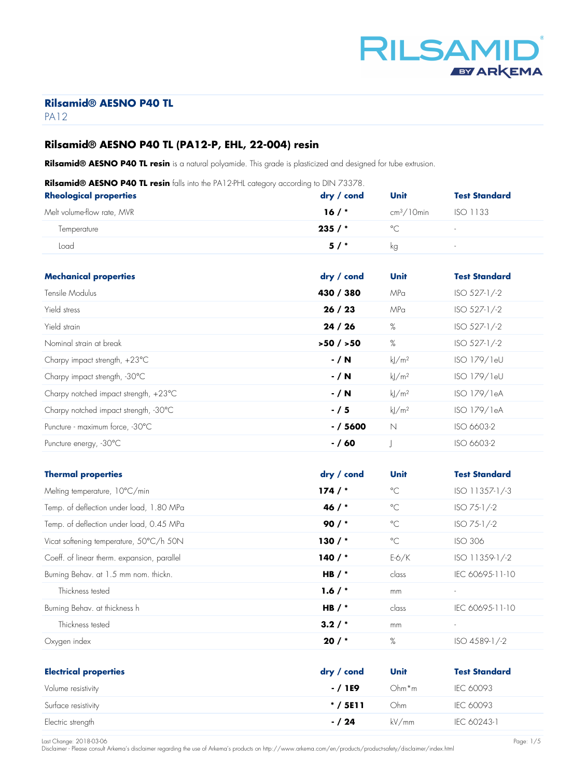

# **Rilsamid® AESNO P40 TL (PA12-P, EHL, 22-004) resin**

**Rilsamid® AESNO P40 TL resin** is a natural polyamide. This grade is plasticized and designed for tube extrusion.

| Rilsamid® AESNO P40 TL resin falls into the PA12-PHL category according to DIN 73378. |  |  |  |
|---------------------------------------------------------------------------------------|--|--|--|
|                                                                                       |  |  |  |

| <b>Rheological properties</b> | $\frac{dy}{dx}$ cond | Unit         | <b>Test Standard</b>     |
|-------------------------------|----------------------|--------------|--------------------------|
| Melt volume-flow rate, MVR    | 16/                  | $cm3/10$ min | ISO 1133                 |
| Temperature                   | 235/                 | $\circ$      | $\overline{\phantom{a}}$ |
| Load                          | 5/                   | ka           | $\sim$                   |
|                               |                      |              |                          |

| <b>Mechanical properties</b>                    | dry / cond | Unit                | <b>Test Standard</b> |
|-------------------------------------------------|------------|---------------------|----------------------|
| Tensile Modulus                                 | 430 / 380  | MPa                 | $ISO 527-1/-2$       |
| Yield stress                                    | 26/23      | MPa                 | ISO 527-1/-2         |
| Yield strain                                    | 24/26      | %                   | $ISO 527-1/-2$       |
| Nominal strain at break                         | >50/550    | %                   | ISO 527-1/-2         |
| Charpy impact strength, +23°C                   | $- / N$    | $k$ /m <sup>2</sup> | ISO 179/1eU          |
| Charpy impact strength, -30°C                   | $- / N$    | $k$ /m <sup>2</sup> | ISO 179/1eU          |
| Charpy notched impact strength, $+23^{\circ}$ C | $- / N$    | $k$ /m <sup>2</sup> | ISO 179/1eA          |
| Charpy notched impact strength, -30°C           | $-/5$      | $k$ /m <sup>2</sup> | ISO 179/1eA          |
| Puncture - maximum force, -30°C                 | $- / 5600$ | $\mathbb N$         | ISO 6603-2           |
| Puncture energy, -30°C                          | $- / 60$   |                     | ISO 6603-2           |

| <b>Thermal properties</b>                   | $\mathsf{dry}$ / cond | Unit         | <b>Test Standard</b>     |
|---------------------------------------------|-----------------------|--------------|--------------------------|
| Melting temperature, 10°C/min               | 174/                  | $^{\circ}$ C | ISO 11357-1/-3           |
| Temp. of deflection under load, 1.80 MPa    | 46 $/$ *              | $^{\circ}$ C | $ISO 75-1/-2$            |
| Temp. of deflection under load, 0.45 MPa    | $90/$ *               | $^{\circ}$ C | ISO 75-1/-2              |
| Vicat softening temperature, 50°C/h 50N     | $130/$ *              | $^{\circ}$ C | <b>ISO 306</b>           |
| Coeff. of linear therm. expansion, parallel | 140 $/$ *             | $E-6/K$      | ISO 11359-1/-2           |
| Burning Behav. at 1.5 mm nom. thickn.       | HB $/$ *              | class        | IEC 60695-11-10          |
| Thickness tested                            | 1.6/                  | mm           | $\overline{\phantom{a}}$ |
| Burning Behav. at thickness h               | HB $/$ *              | class        | IEC 60695-11-10          |
| Thickness tested                            | 3.2/                  | mm           |                          |
| Oxygen index                                | 20/                   | %            | ISO 4589-1/-2            |
|                                             |                       |              |                          |
| <b>Electrical properties</b>                | dry / cond            | Unit         | <b>Test Standard</b>     |
| Volume resistivity                          | - / 1E9               | $Ohm*m$      | IEC 60093                |
| Surface resistivity                         | $* / 5E11$            | Ohm          | IEC 60093                |
| Electric strength                           | $- / 24$              | kV/mm        | IEC 60243-1              |

Last Change: 2018-03-06 Page: 1/5 Disclaimer - Please consult Arkema's disclaimer regarding the use of Arkema's products on http://www.arkema.com/en/products/product-safety/disclaimer/index.html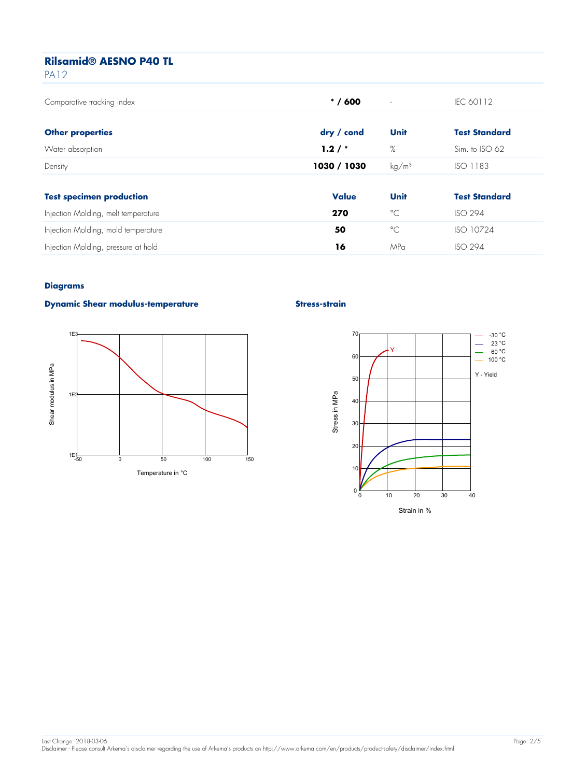| <b>PA12</b>                         |              |                          |                      |
|-------------------------------------|--------------|--------------------------|----------------------|
| Comparative tracking index          | $* / 600$    | $\overline{\phantom{a}}$ | IEC 60112            |
| <b>Other properties</b>             | dry / cond   | Unit                     | <b>Test Standard</b> |
| Water absorption                    | 1.2/         | %                        | Sim. to ISO 62       |
| Density                             | 1030 / 1030  | kg/m <sup>3</sup>        | <b>ISO 1183</b>      |
|                                     |              |                          |                      |
| <b>Test specimen production</b>     | <b>Value</b> | Unit                     | <b>Test Standard</b> |
| Injection Molding, melt temperature | 270          | $^{\circ}$ C             | <b>ISO 294</b>       |
| Injection Molding, mold temperature | 50           | $^{\circ}$ C             | ISO 10724            |
| Injection Molding, pressure at hold | 16           | MPa                      | <b>ISO 294</b>       |
|                                     |              |                          |                      |

#### **Diagrams**

#### **Dynamic Shear modulus-temperature Stress-strain Stress-strain**



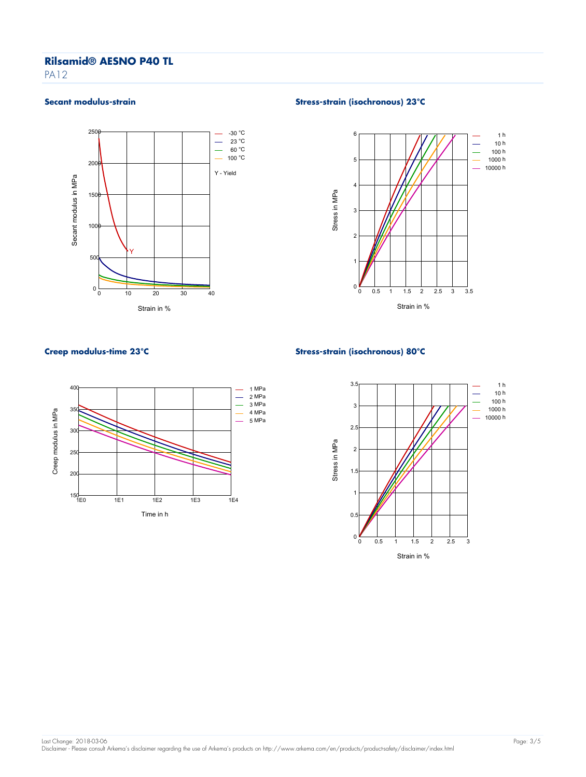PA<sub>12</sub>



#### Secant modulus-strain **Stress-strain (isochronous)** 23°C





### **Creep modulus-time 23°C Stress-strain (isochronous) 80°C**

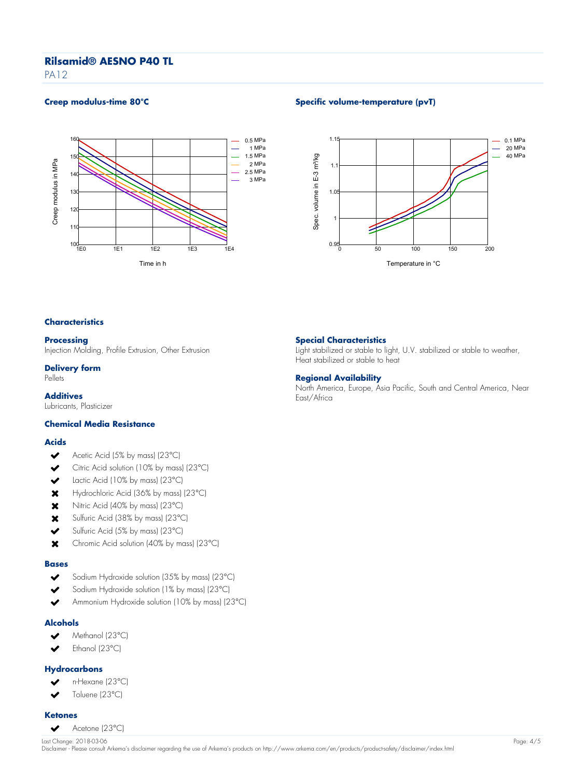PA<sub>12</sub>



### **Creep modulus-time 80°C Specific volume-temperature (pvT)**



#### **Characteristics**

### **Processing**

Injection Molding, Profile Extrusion, Other Extrusion

#### **Delivery form**

Pellets

**Additives** Lubricants, Plasticizer

## **Chemical Media Resistance**

#### **Acids**

- $\checkmark$ Acetic Acid (5% by mass) (23°C)
- Citric Acid solution (10% by mass) (23°C)  $\checkmark$
- $\overline{\phantom{a}}$ Lactic Acid (10% by mass) (23°C)
- Hydrochloric Acid (36% by mass) (23°C)  $\mathbf x$
- Nitric Acid (40% by mass) (23°C)  $\mathbf x$
- Sulfuric Acid (38% by mass) (23°C)  $\mathbf x$
- $\overline{\mathbf{v}}$ Sulfuric Acid (5% by mass) (23°C)
- $\mathbf x$ Chromic Acid solution (40% by mass) (23°C)

#### **Bases**

- Sodium Hydroxide solution (35% by mass) (23°C)  $\overline{\mathbf{v}}$
- Sodium Hydroxide solution (1% by mass) (23°C)
- Ammonium Hydroxide solution (10% by mass) (23°C)

#### **Alcohols**

- Methanol (23°C)  $\checkmark$
- Ethanol (23°C)  $\blacktriangleright$

#### **Hydrocarbons**

- n-Hexane (23°C)
- Toluene (23°C) J

#### **Ketones**

Acetone (23°C)  $\overline{\mathbf{v}}$ 

# Last Change: 2018-03-06 Page: 4/5 Disclaimer - Please consult Arkema's disclaimer regarding the use of Arkema's products on http://www.arkema.com/en/products/product-safety/disclaimer/index.html

## **Special Characteristics**

Light stabilized or stable to light, U.V. stabilized or stable to weather, Heat stabilized or stable to heat

#### **Regional Availability**

North America, Europe, Asia Pacific, South and Central America, Near East/Africa